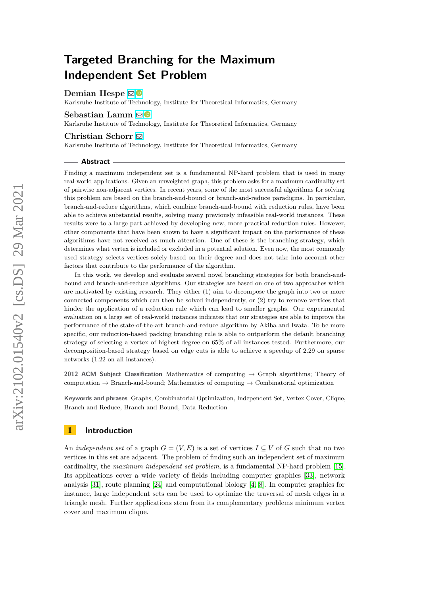# **Targeted Branching for the Maximum Independent Set Problem**

**Demian Hespe**  $\mathbf{\boxdot}$  **■** 

Karlsruhe Institute of Technology, Institute for Theoretical Informatics, Germany

### **Sebastian Lamm** ⊠<sup>■</sup>

Karlsruhe Institute of Technology, Institute for Theoretical Informatics, Germany

#### **Christian Schorr** [!](mailto:christian.schorr@student.kit.edu)

Karlsruhe Institute of Technology, Institute for Theoretical Informatics, Germany

#### **Abstract**

Finding a maximum independent set is a fundamental NP-hard problem that is used in many real-world applications. Given an unweighted graph, this problem asks for a maximum cardinality set of pairwise non-adjacent vertices. In recent years, some of the most successful algorithms for solving this problem are based on the branch-and-bound or branch-and-reduce paradigms. In particular, branch-and-reduce algorithms, which combine branch-and-bound with reduction rules, have been able to achieve substantial results, solving many previously infeasible real-world instances. These results were to a large part achieved by developing new, more practical reduction rules. However, other components that have been shown to have a significant impact on the performance of these algorithms have not received as much attention. One of these is the branching strategy, which determines what vertex is included or excluded in a potential solution. Even now, the most commonly used strategy selects vertices solely based on their degree and does not take into account other factors that contribute to the performance of the algorithm.

In this work, we develop and evaluate several novel branching strategies for both branch-andbound and branch-and-reduce algorithms. Our strategies are based on one of two approaches which are motivated by existing research. They either (1) aim to decompose the graph into two or more connected components which can then be solved independently, or (2) try to remove vertices that hinder the application of a reduction rule which can lead to smaller graphs. Our experimental evaluation on a large set of real-world instances indicates that our strategies are able to improve the performance of the state-of-the-art branch-and-reduce algorithm by Akiba and Iwata. To be more specific, our reduction-based packing branching rule is able to outperform the default branching strategy of selecting a vertex of highest degree on 65% of all instances tested. Furthermore, our decomposition-based strategy based on edge cuts is able to achieve a speedup of 2*.*29 on sparse networks (1*.*22 on all instances).

**2012 ACM Subject Classification** Mathematics of computing → Graph algorithms; Theory of computation  $\rightarrow$  Branch-and-bound; Mathematics of computing  $\rightarrow$  Combinatorial optimization

**Keywords and phrases** Graphs, Combinatorial Optimization, Independent Set, Vertex Cover, Clique, Branch-and-Reduce, Branch-and-Bound, Data Reduction

### **1 Introduction**

An *independent set* of a graph  $G = (V, E)$  is a set of vertices  $I \subseteq V$  of G such that no two vertices in this set are adjacent. The problem of finding such an independent set of maximum cardinality, the *maximum independent set problem*, is a fundamental NP-hard problem [\[15\]](#page-15-0). Its applications cover a wide variety of fields including computer graphics [\[33\]](#page-16-0), network analysis [\[31\]](#page-16-1), route planning [\[24\]](#page-15-1) and computational biology [\[4,](#page-14-0) [8\]](#page-14-1). In computer graphics for instance, large independent sets can be used to optimize the traversal of mesh edges in a triangle mesh. Further applications stem from its complementary problems minimum vertex cover and maximum clique.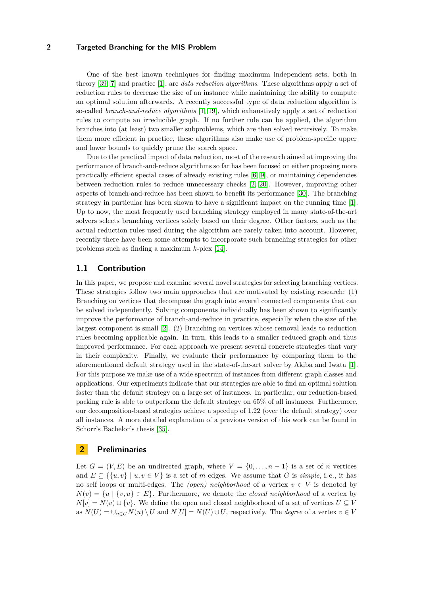One of the best known techniques for finding maximum independent sets, both in theory [\[39,](#page-16-2) [7\]](#page-14-2) and practice [\[1\]](#page-14-3), are *data reduction algorithms*. These algorithms apply a set of reduction rules to decrease the size of an instance while maintaining the ability to compute an optimal solution afterwards. A recently successful type of data reduction algorithm is so-called *branch-and-reduce algorithms* [\[1,](#page-14-3) [19\]](#page-15-2), which exhaustively apply a set of reduction rules to compute an irreducible graph. If no further rule can be applied, the algorithm branches into (at least) two smaller subproblems, which are then solved recursively. To make them more efficient in practice, these algorithms also make use of problem-specific upper and lower bounds to quickly prune the search space.

Due to the practical impact of data reduction, most of the research aimed at improving the performance of branch-and-reduce algorithms so far has been focused on either proposing more practically efficient special cases of already existing rules [\[6,](#page-14-4) [9\]](#page-14-5), or maintaining dependencies between reduction rules to reduce unnecessary checks [\[2,](#page-14-6) [20\]](#page-15-3). However, improving other aspects of branch-and-reduce has been shown to benefit its performance [\[30\]](#page-15-4). The branching strategy in particular has been shown to have a significant impact on the running time [\[1\]](#page-14-3). Up to now, the most frequently used branching strategy employed in many state-of-the-art solvers selects branching vertices solely based on their degree. Other factors, such as the actual reduction rules used during the algorithm are rarely taken into account. However, recently there have been some attempts to incorporate such branching strategies for other problems such as finding a maximum *k*-plex [\[14\]](#page-15-5).

### **1.1 Contribution**

In this paper, we propose and examine several novel strategies for selecting branching vertices. These strategies follow two main approaches that are motivated by existing research: (1) Branching on vertices that decompose the graph into several connected components that can be solved independently. Solving components individually has been shown to significantly improve the performance of branch-and-reduce in practice, especially when the size of the largest component is small [\[2\]](#page-14-6). (2) Branching on vertices whose removal leads to reduction rules becoming applicable again. In turn, this leads to a smaller reduced graph and thus improved performance. For each approach we present several concrete strategies that vary in their complexity. Finally, we evaluate their performance by comparing them to the aforementioned default strategy used in the state-of-the-art solver by Akiba and Iwata [\[1\]](#page-14-3). For this purpose we make use of a wide spectrum of instances from different graph classes and applications. Our experiments indicate that our strategies are able to find an optimal solution faster than the default strategy on a large set of instances. In particular, our reduction-based packing rule is able to outperform the default strategy on 65% of all instances. Furthermore, our decomposition-based strategies achieve a speedup of 1*.*22 (over the default strategy) over all instances. A more detailed explanation of a previous version of this work can be found in Schorr's Bachelor's thesis [\[35\]](#page-16-3).

### **2 Preliminaries**

Let  $G = (V, E)$  be an undirected graph, where  $V = \{0, \ldots, n-1\}$  is a set of *n* vertices and  $E \subseteq \{ \{u, v\} \mid u, v \in V \}$  is a set of *m* edges. We assume that *G* is *simple*, i.e., it has no self loops or multi-edges. The *(open) neighborhood* of a vertex  $v \in V$  is denoted by  $N(v) = \{u \mid \{v, u\} \in E\}$ . Furthermore, we denote the *closed neighborhood* of a vertex by *N*[*v*] = *N*(*v*) ∪ {*v*}. We define the open and closed neighborhood of a set of vertices *U* ⊆ *V* as  $N(U) = \bigcup_{u \in U} N(u) \setminus U$  and  $N[U] = N(U) \cup U$ , respectively. The *degree* of a vertex  $v \in V$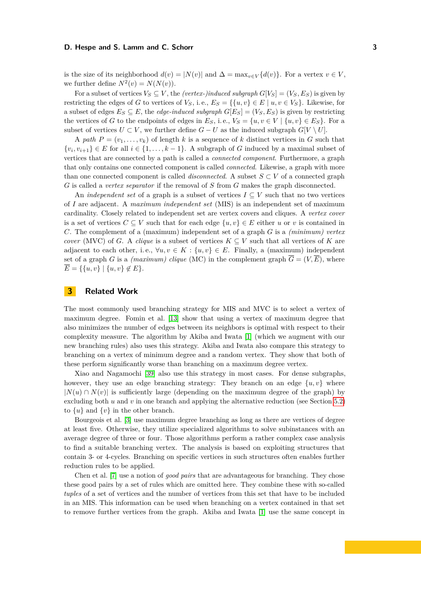#### **D. Hespe and S. Lamm and C. Schorr 3**

is the size of its neighborhood  $d(v) = |N(v)|$  and  $\Delta = \max_{v \in V} \{d(v)\}\)$ . For a vertex  $v \in V$ , we further define  $N^2(v) = N(N(v)).$ 

For a subset of vertices  $V_S \subseteq V$ , the *(vertex-)induced subgraph*  $G[V_S] = (V_S, E_S)$  is given by restricting the edges of *G* to vertices of  $V_S$ , i. e.,  $E_S = \{ \{u, v\} \in E \mid u, v \in V_S \}$ . Likewise, for a subset of edges  $E_S \subseteq E$ , the *edge-induced subgraph*  $G[E_S] = (V_S, E_S)$  is given by restricting the vertices of *G* to the endpoints of edges in  $E_S$ , i.e.,  $V_S = \{u, v \in V \mid \{u, v\} \in E_S\}$ . For a subset of vertices  $U \subset V$ , we further define  $G - U$  as the induced subgraph  $G[V \setminus U]$ .

A *path*  $P = (v_1, \ldots, v_k)$  of length *k* is a sequence of *k* distinct vertices in *G* such that  $\{v_i, v_{i+1}\} \in E$  for all  $i \in \{1, \ldots, k-1\}$ . A subgraph of *G* induced by a maximal subset of vertices that are connected by a path is called a *connected component*. Furthermore, a graph that only contains one connected component is called *connected*. Likewise, a graph with more than one connected component is called *disconnected*. A subset  $S \subset V$  of a connected graph *G* is called a *vertex separator* if the removal of *S* from *G* makes the graph disconnected.

An *independent set* of a graph is a subset of vertices  $I \subseteq V$  such that no two vertices of *I* are adjacent. A *maximum independent set* (MIS) is an independent set of maximum cardinality. Closely related to independent set are vertex covers and cliques. A *vertex cover* is a set of vertices  $C \subseteq V$  such that for each edge  $\{u, v\} \in E$  either *u* or *v* is contained in *C*. The complement of a (maximum) independent set of a graph *G* is a *(minimum) vertex cover* (MVC) of *G*. A *clique* is a subset of vertices  $K \subseteq V$  such that all vertices of *K* are adjacent to each other, i.e.,  $\forall u, v \in K : \{u, v\} \in E$ . Finally, a (maximum) independent set of a graph *G* is a *(maximum) clique* (MC) in the complement graph  $\overline{G} = (V, \overline{E})$ , where  $\overline{E} = \{ \{u, v\} \mid \{u, v\} \notin E \}.$ 

### **3 Related Work**

The most commonly used branching strategy for MIS and MVC is to select a vertex of maximum degree. Fomin et al. [\[13\]](#page-15-6) show that using a vertex of maximum degree that also minimizes the number of edges between its neighbors is optimal with respect to their complexity measure. The algorithm by Akiba and Iwata [\[1\]](#page-14-3) (which we augment with our new branching rules) also uses this strategy. Akiba and Iwata also compare this strategy to branching on a vertex of minimum degree and a random vertex. They show that both of these perform significantly worse than branching on a maximum degree vertex.

Xiao and Nagamochi [\[39\]](#page-16-2) also use this strategy in most cases. For dense subgraphs, however, they use an edge branching strategy: They branch on an edge  $\{u, v\}$  where  $|N(u) \cap N(v)|$  is sufficiently large (depending on the maximum degree of the graph) by excluding both *u* and *v* in one branch and applying the alternative reduction (see Section [5.2\)](#page-6-0) to  $\{u\}$  and  $\{v\}$  in the other branch.

Bourgeois et al. [\[3\]](#page-14-7) use maximum degree branching as long as there are vertices of degree at least five. Otherwise, they utilize specialized algorithms to solve subinstances with an average degree of three or four. Those algorithms perform a rather complex case analysis to find a suitable branching vertex. The analysis is based on exploiting structures that contain 3- or 4-cycles. Branching on specific vertices in such structures often enables further reduction rules to be applied.

Chen et al. [\[7\]](#page-14-2) use a notion of *good pairs* that are advantageous for branching. They chose these good pairs by a set of rules which are omitted here. They combine these with so-called *tuples* of a set of vertices and the number of vertices from this set that have to be included in an MIS. This information can be used when branching on a vertex contained in that set to remove further vertices from the graph. Akiba and Iwata [\[1\]](#page-14-3) use the same concept in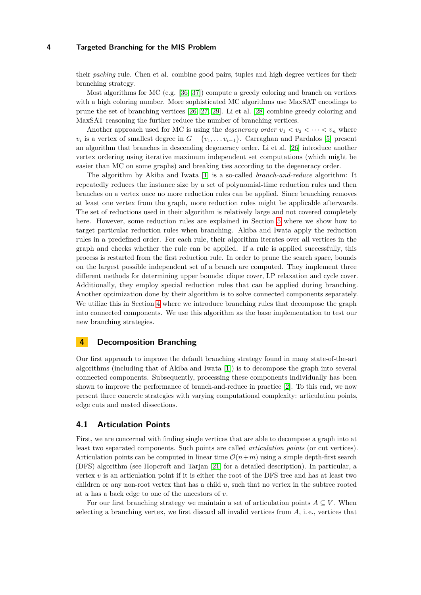their *packing* rule. Chen et al. combine good pairs, tuples and high degree vertices for their branching strategy.

Most algorithms for MC (e.g.  $[36, 37]$  $[36, 37]$  $[36, 37]$ ) compute a greedy coloring and branch on vertices with a high coloring number. More sophisticated MC algorithms use MaxSAT encodings to prune the set of branching vertices [\[26,](#page-15-7) [27,](#page-15-8) [29\]](#page-15-9). Li et al. [\[28\]](#page-15-10) combine greedy coloring and MaxSAT reasoning the further reduce the number of branching vertices.

Another approach used for MC is using the *degeneracy order*  $v_1 < v_2 < \cdots < v_n$  where  $v_i$  is a vertex of smallest degree in  $G - \{v_1, \ldots v_{i-1}\}$ . Carraghan and Pardalos [\[5\]](#page-14-8) present an algorithm that branches in descending degeneracy order. Li et al. [\[26\]](#page-15-7) introduce another vertex ordering using iterative maximum independent set computations (which might be easier than MC on some graphs) and breaking ties according to the degeneracy order.

The algorithm by Akiba and Iwata [\[1\]](#page-14-3) is a so-called *branch-and-reduce* algorithm: It repeatedly reduces the instance size by a set of polynomial-time reduction rules and then branches on a vertex once no more reduction rules can be applied. Since branching removes at least one vertex from the graph, more reduction rules might be applicable afterwards. The set of reductions used in their algorithm is relatively large and not covered completely here. However, some reduction rules are explained in Section [5](#page-5-0) where we show how to target particular reduction rules when branching. Akiba and Iwata apply the reduction rules in a predefined order. For each rule, their algorithm iterates over all vertices in the graph and checks whether the rule can be applied. If a rule is applied successfully, this process is restarted from the first reduction rule. In order to prune the search space, bounds on the largest possible independent set of a branch are computed. They implement three different methods for determining upper bounds: clique cover, LP relaxation and cycle cover. Additionally, they employ special reduction rules that can be applied during branching. Another optimization done by their algorithm is to solve connected components separately. We utilize this in Section [4](#page-3-0) where we introduce branching rules that decompose the graph into connected components. We use this algorithm as the base implementation to test our new branching strategies.

### <span id="page-3-0"></span>**4 Decomposition Branching**

Our first approach to improve the default branching strategy found in many state-of-the-art algorithms (including that of Akiba and Iwata [\[1\]](#page-14-3)) is to decompose the graph into several connected components. Subsequently, processing these components individually has been shown to improve the performance of branch-and-reduce in practice [\[2\]](#page-14-6). To this end, we now present three concrete strategies with varying computational complexity: articulation points, edge cuts and nested dissections.

#### **4.1 Articulation Points**

First, we are concerned with finding single vertices that are able to decompose a graph into at least two separated components. Such points are called *articulation points* (or cut vertices). Articulation points can be computed in linear time  $\mathcal{O}(n+m)$  using a simple depth-first search (DFS) algorithm (see Hopcroft and Tarjan [\[21\]](#page-15-11) for a detailed description). In particular, a vertex  $v$  is an articulation point if it is either the root of the DFS tree and has at least two children or any non-root vertex that has a child *u*, such that no vertex in the subtree rooted at *u* has a back edge to one of the ancestors of *v*.

For our first branching strategy we maintain a set of articulation points  $A \subseteq V$ . When selecting a branching vertex, we first discard all invalid vertices from *A*, i. e., vertices that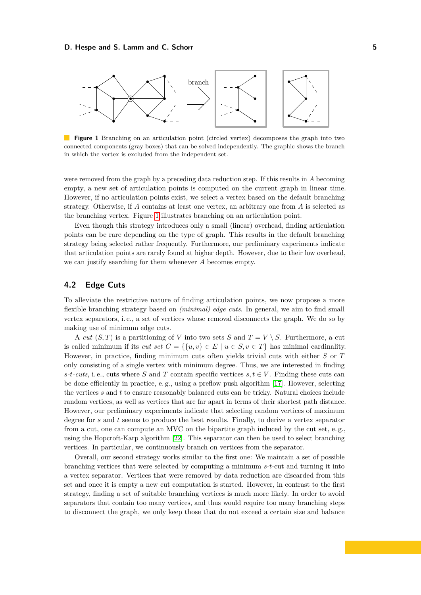#### **D. Hespe and S. Lamm and C. Schorr 5**

<span id="page-4-0"></span>

**Figure 1** Branching on an articulation point (circled vertex) decomposes the graph into two connected components (gray boxes) that can be solved independently. The graphic shows the branch in which the vertex is excluded from the independent set.

were removed from the graph by a preceding data reduction step. If this results in *A* becoming empty, a new set of articulation points is computed on the current graph in linear time. However, if no articulation points exist, we select a vertex based on the default branching strategy. Otherwise, if *A* contains at least one vertex, an arbitrary one from *A* is selected as the branching vertex. Figure [1](#page-4-0) illustrates branching on an articulation point.

Even though this strategy introduces only a small (linear) overhead, finding articulation points can be rare depending on the type of graph. This results in the default branching strategy being selected rather frequently. Furthermore, our preliminary experiments indicate that articulation points are rarely found at higher depth. However, due to their low overhead, we can justify searching for them whenever *A* becomes empty.

### **4.2 Edge Cuts**

To alleviate the restrictive nature of finding articulation points, we now propose a more flexible branching strategy based on *(minimal) edge cuts*. In general, we aim to find small vertex separators, i. e., a set of vertices whose removal disconnects the graph. We do so by making use of minimum edge cuts.

A *cut*  $(S, T)$  is a partitioning of *V* into two sets *S* and  $T = V \setminus S$ . Furthermore, a cut is called minimum if its *cut set*  $C = \{ \{u, v\} \in E \mid u \in S, v \in T \}$  has minimal cardinality. However, in practice, finding minimum cuts often yields trivial cuts with either *S* or *T* only consisting of a single vertex with minimum degree. Thus, we are interested in finding *s*-*t*-*cuts*, i.e., cuts where *S* and *T* contain specific vertices  $s, t \in V$ . Finding these cuts can be done efficiently in practice, e. g., using a preflow push algorithm [\[17\]](#page-15-12). However, selecting the vertices *s* and *t* to ensure reasonably balanced cuts can be tricky. Natural choices include random vertices, as well as vertices that are far apart in terms of their shortest path distance. However, our preliminary experiments indicate that selecting random vertices of maximum degree for *s* and *t* seems to produce the best results. Finally, to derive a vertex separator from a cut, one can compute an MVC on the bipartite graph induced by the cut set, e. g., using the Hopcroft-Karp algorithm [\[22\]](#page-15-13). This separator can then be used to select branching vertices. In particular, we continuously branch on vertices from the separator.

Overall, our second strategy works similar to the first one: We maintain a set of possible branching vertices that were selected by computing a minimum *s*-*t*-cut and turning it into a vertex separator. Vertices that were removed by data reduction are discarded from this set and once it is empty a new cut computation is started. However, in contrast to the first strategy, finding a set of suitable branching vertices is much more likely. In order to avoid separators that contain too many vertices, and thus would require too many branching steps to disconnect the graph, we only keep those that do not exceed a certain size and balance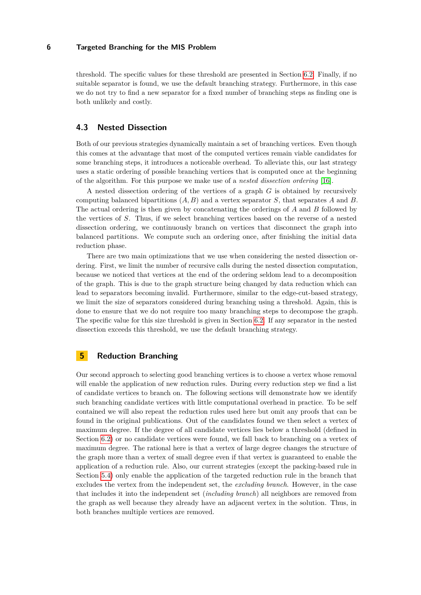threshold. The specific values for these threshold are presented in Section [6.2.](#page-9-0) Finally, if no suitable separator is found, we use the default branching strategy. Furthermore, in this case we do not try to find a new separator for a fixed number of branching steps as finding one is both unlikely and costly.

### **4.3 Nested Dissection**

Both of our previous strategies dynamically maintain a set of branching vertices. Even though this comes at the advantage that most of the computed vertices remain viable candidates for some branching steps, it introduces a noticeable overhead. To alleviate this, our last strategy uses a static ordering of possible branching vertices that is computed once at the beginning of the algorithm. For this purpose we make use of a *nested dissection ordering* [\[16\]](#page-15-14).

A nested dissection ordering of the vertices of a graph *G* is obtained by recursively computing balanced bipartitions (*A, B*) and a vertex separator *S*, that separates *A* and *B*. The actual ordering is then given by concatenating the orderings of *A* and *B* followed by the vertices of *S*. Thus, if we select branching vertices based on the reverse of a nested dissection ordering, we continuously branch on vertices that disconnect the graph into balanced partitions. We compute such an ordering once, after finishing the initial data reduction phase.

There are two main optimizations that we use when considering the nested dissection ordering. First, we limit the number of recursive calls during the nested dissection computation, because we noticed that vertices at the end of the ordering seldom lead to a decomposition of the graph. This is due to the graph structure being changed by data reduction which can lead to separators becoming invalid. Furthermore, similar to the edge-cut-based strategy, we limit the size of separators considered during branching using a threshold. Again, this is done to ensure that we do not require too many branching steps to decompose the graph. The specific value for this size threshold is given in Section [6.2.](#page-9-0) If any separator in the nested dissection exceeds this threshold, we use the default branching strategy.

### <span id="page-5-0"></span>**5 Reduction Branching**

Our second approach to selecting good branching vertices is to choose a vertex whose removal will enable the application of new reduction rules. During every reduction step we find a list of candidate vertices to branch on. The following sections will demonstrate how we identify such branching candidate vertices with little computational overhead in practice. To be self contained we will also repeat the reduction rules used here but omit any proofs that can be found in the original publications. Out of the candidates found we then select a vertex of maximum degree. If the degree of all candidate vertices lies below a threshold (defined in Section [6.2\)](#page-9-0) or no candidate vertices were found, we fall back to branching on a vertex of maximum degree. The rational here is that a vertex of large degree changes the structure of the graph more than a vertex of small degree even if that vertex is guaranteed to enable the application of a reduction rule. Also, our current strategies (except the packing-based rule in Section [5.4\)](#page-8-0) only enable the application of the targeted reduction rule in the branch that excludes the vertex from the independent set, the *excluding branch*. However, in the case that includes it into the independent set (*including branch*) all neighbors are removed from the graph as well because they already have an adjacent vertex in the solution. Thus, in both branches multiple vertices are removed.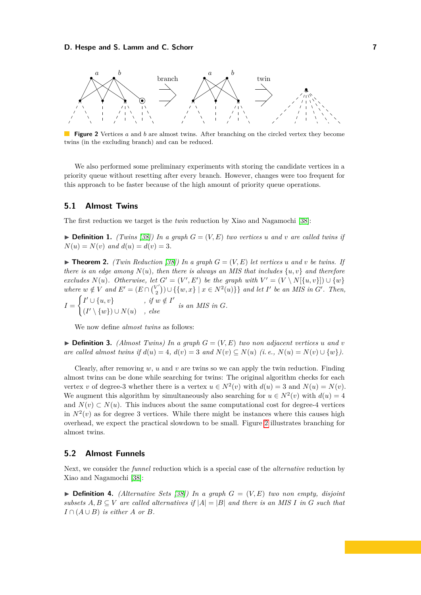### **D. Hespe and S. Lamm and C. Schorr 7**

<span id="page-6-1"></span>

**Figure 2** Vertices *a* and *b* are almost twins. After branching on the circled vertex they become twins (in the excluding branch) and can be reduced.

We also performed some preliminary experiments with storing the candidate vertices in a priority queue without resetting after every branch. However, changes were too frequent for this approach to be faster because of the high amount of priority queue operations.

### **5.1 Almost Twins**

The first reduction we target is the *twin* reduction by Xiao and Nagamochi [\[38\]](#page-16-6):

 $\triangleright$  **Definition 1.** *(Twins [\[38\]](#page-16-6))* In a graph  $G = (V, E)$  two vertices *u* and *v* are called twins if  $N(u) = N(v)$  *and*  $d(u) = d(v) = 3$ .

 $\blacktriangleright$  **Theorem 2.** *(Twin Reduction [\[38\]](#page-16-6)) In a graph*  $G = (V, E)$  *let vertices u and v be twins. If there is an edge among*  $N(u)$ *, then there is always an MIS that includes*  $\{u, v\}$  *and therefore excludes*  $N(u)$ *. Otherwise, let*  $G' = (V', E')$  *be the graph with*  $V' = (V \setminus N[\{u, v\}]) \cup \{w\}$ *where*  $w \notin V$  *and*  $E' = (E \cap {V' \choose 2})$  $\{X'_{2}\}\cup\{w,x\}$  |  $x \in N^{2}(u)$ } *and let I*<sup>'</sup> *be an MIS in G*<sup>'</sup>. Then, *I* =  $\int I' \cup \{u, v\}$ , if  $w \notin I'$  $(I' \setminus \{w\}) \cup N(u)$ , else is an MIS in *G*.

We now define *almost twins* as follows:

 $\blacktriangleright$  **Definition 3.** *(Almost Twins) In a graph*  $G = (V, E)$  *two non adjacent vertices u and v are called almost twins if*  $d(u) = 4$ ,  $d(v) = 3$  *and*  $N(v) \subseteq N(u)$  *(i.e.,*  $N(u) = N(v) \cup \{w\}$ *).* 

Clearly, after removing  $w$ ,  $u$  and  $v$  are twins so we can apply the twin reduction. Finding almost twins can be done while searching for twins: The original algorithm checks for each vertex *v* of degree-3 whether there is a vertex  $u \in N^2(v)$  with  $d(u) = 3$  and  $N(u) = N(v)$ . We augment this algorithm by simultaneously also searching for  $u \in N^2(v)$  with  $d(u) = 4$ and  $N(v) \subset N(u)$ . This induces about the same computational cost for degree-4 vertices in  $N^2(v)$  as for degree 3 vertices. While there might be instances where this causes high overhead, we expect the practical slowdown to be small. Figure [2](#page-6-1) illustrates branching for almost twins.

### <span id="page-6-0"></span>**5.2 Almost Funnels**

Next, we consider the *funnel* reduction which is a special case of the *alternative* reduction by Xiao and Nagamochi [\[38\]](#page-16-6):

 $\triangleright$  **Definition 4.** *(Alternative Sets [\[38\]](#page-16-6))* In a graph  $G = (V, E)$  *two non empty, disjoint subsets*  $A, B \subseteq V$  *are called alternatives if*  $|A| = |B|$  *and there is an MIS I in G such that I* ∩  $(A ∪ B)$  *is either A or B.*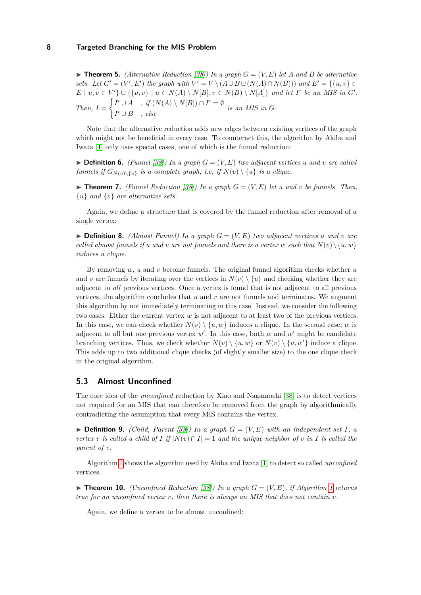$\triangleright$  **Theorem 5.** *(Alternative Reduction [\[38\]](#page-16-6)) In a graph*  $G = (V, E)$  *let*  $A$  *and*  $B$  *be alternative sets.* Let  $G' = (V', E')$  the graph with  $V' = V \setminus (A \cup B \cup (N(A) \cap N(B)))$  and  $E' = \{ \{u, v\} \in$  $E \mid u, v \in V'$   $\cup$  {{ $u, v$ }  $\mid u \in N(A) \setminus N[B], v \in N(B) \setminus N[A]$ } *and let I*<sup>'</sup> *be an MIS in G'*. *Then,*  $I =$  $\int I' \cup A$ , if  $(N(A) \setminus N[B]) \cap I' = \emptyset$  $I' \cup B$ , else

Note that the alternative reduction adds new edges between existing vertices of the graph which might not be beneficial in every case. To counteract this, the algorithm by Akiba and Iwata [\[1\]](#page-14-3) only uses special cases, one of which is the funnel reduction:

 $\blacktriangleright$  **Definition 6.** *(Funnel [\[38\]](#page-16-6))* In a graph  $G = (V, E)$  two adjacent vertices *u* and *v* are called *funnels if*  $G_{N(v)\setminus\{u\}}$  *is a complete graph, i.e, if*  $N(v)\setminus\{u\}$  *is a clique.* 

 $\blacktriangleright$  **Theorem 7.** *(Funnel Reduction [\[38\]](#page-16-6)) In a graph*  $G = (V, E)$  *let u and v be funnels. Then,* {*u*} *and* {*v*} *are alternative sets.*

Again, we define a structure that is covered by the funnel reduction after removal of a single vertex:

 $\blacktriangleright$  **Definition 8.** *(Almost Funnel) In a graph*  $G = (V, E)$  *two adjacent vertices u and v are called almost funnels if u and v are not funnels and there is a vertex w such that*  $N(v) \setminus \{u, w\}$ *induces a clique.*

By removing *w*, *u* and *v* become funnels. The original funnel algorithm checks whether *u* and *v* are funnels by iterating over the vertices in  $N(v) \setminus \{u\}$  and checking whether they are adjacent to *all* previous vertices. Once a vertex is found that is not adjacent to all previous vertices, the algorithm concludes that *u* and *v* are not funnels and terminates. We augment this algorithm by not immediately terminating in this case. Instead, we consider the following two cases: Either the current vertex *w* is not adjacent to at least two of the previous vertices. In this case, we can check whether  $N(v) \setminus \{u, w\}$  induces a clique. In the second case, *w* is adjacent to all but one previous vertex  $w'$ . In this case, both  $w$  and  $w'$  might be candidate branching vertices. Thus, we check whether  $N(v) \setminus \{u, w\}$  or  $N(v) \setminus \{u, w'\}$  induce a clique. This adds up to two additional clique checks (of slightly smaller size) to the one clique check in the original algorithm.

### **5.3 Almost Unconfined**

The core idea of the *unconfined* reduction by Xiao and Nagamochi [\[38\]](#page-16-6) is to detect vertices not required for an MIS that can therefore be removed from the graph by algorithmically contradicting the assumption that every MIS contains the vertex.

 $\blacktriangleright$  **Definition 9.** *(Child, Parent [\[38\]](#page-16-6)* In a graph  $G = (V, E)$  with an independent set I, a *vertex v is called a child of I if*  $|N(v) \cap I| = 1$  *and the unique neighbor of v in I is called the parent of v.*

Algorithm [1](#page-8-1) shows the algorithm used by Akiba and Iwata [\[1\]](#page-14-3) to detect so called *unconfined* vertices.

 $\triangleright$  **Theorem [1](#page-8-1)0.** *(Unconfined Reduction [\[38\]](#page-16-6)) In a graph*  $G = (V, E)$ *, if Algorithm 1 returns true for an unconfined vertex v, then there is always an MIS that does not contain v.*

Again, we define a vertex to be almost unconfined: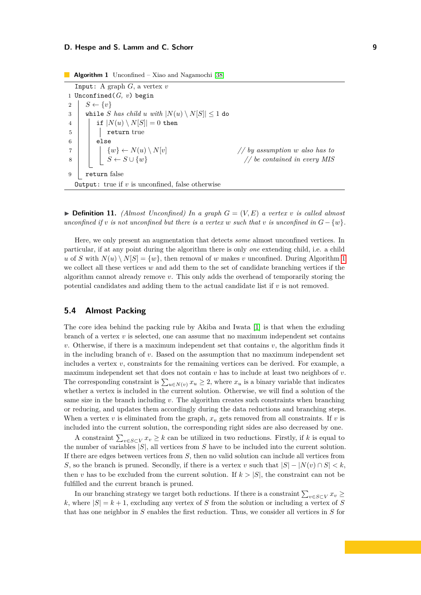### **D. Hespe and S. Lamm and C. Schorr 9**

**Algorithm 1** Unconfined – Xiao and Nagamochi [\[38\]](#page-16-6)

<span id="page-8-1"></span>Input: A graph *G*, a vertex *v* 1 Unconfined(*G, v*) begin 2  $S \leftarrow \{v\}$ 3 while *S* has child *u* with  $|N(u) \setminus N[S]| \leq 1$  do 4 | if  $|N(u) \setminus N[S]| = 0$  then 5 | | | return true 6 else  $\begin{array}{c|c|c|c|c} 7 & & & & \mbox{\&} & \mbox{\&} & \mbox{\&} & \mbox{\&} & \mbox{\&} & \mbox{\&} & \mbox{\&} & \mbox{\&} & \mbox{\&} & \mbox{\&} & \mbox{\&} & \mbox{\&} & \mbox{\&} & \mbox{\&} & \mbox{\&} & \mbox{\&} & \mbox{\&} & \mbox{\&} & \mbox{\&} & \mbox{\&} & \mbox{\&} & \mbox{\&} & \mbox{\&} & \mbox{\&} & \mbox{\&} & \mbox{\&} & \mbox{\&} & \mbox{\&} & \mbox$  $\begin{array}{c|c|c|c|c|c|c} \hline \end{array}$  *S* ← *S* ∪ {*w*} *// be contained in every MIS* 9 return false **Output:** true if  $v$  is unconfined, false otherwise

 $\blacktriangleright$  **Definition 11.** *(Almost Unconfined) In a graph*  $G = (V, E)$  *a vertex v is called almost unconfined if*  $v$  *is not unconfined but there is a vertex*  $w$  *such that*  $v$  *is unconfined in*  $G - \{w\}$ *.* 

Here, we only present an augmentation that detects *some* almost unconfined vertices. In particular, if at any point during the algorithm there is only *one* extending child, i.e. a child *u* of *S* with  $N(u) \setminus N[S] = \{w\}$ , then removal of *w* makes *v* unconfined. During Algorithm [1](#page-8-1) we collect all these vertices *w* and add them to the set of candidate branching vertices if the algorithm cannot already remove *v*. This only adds the overhead of temporarily storing the potential candidates and adding them to the actual candidate list if *v* is not removed.

### <span id="page-8-0"></span>**5.4 Almost Packing**

The core idea behind the packing rule by Akiba and Iwata [\[1\]](#page-14-3) is that when the exluding branch of a vertex *v* is selected, one can assume that no maximum independent set contains *v*. Otherwise, if there is a maximum independent set that contains *v*, the algorithm finds it in the including branch of *v*. Based on the assumption that no maximum independent set includes a vertex *v*, constraints for the remaining vertices can be derived. For example, a maximum independent set that does not contain *v* has to include at least two neighbors of *v*. The corresponding constraint is  $\sum_{u \in N(v)} x_u \geq 2$ , where  $x_u$  is a binary variable that indicates whether a vertex is included in the current solution. Otherwise, we will find a solution of the same size in the branch including  $v$ . The algorithm creates such constraints when branching or reducing, and updates them accordingly during the data reductions and branching steps. When a vertex  $v$  is eliminated from the graph,  $x_v$  gets removed from all constraints. If  $v$  is included into the current solution, the corresponding right sides are also decreased by one.

A constraint  $\sum_{v \in S \subset V} x_v \geq k$  can be utilized in two reductions. Firstly, if *k* is equal to the number of variables |*S*|, all vertices from *S* have to be included into the current solution. If there are edges between vertices from *S*, then no valid solution can include all vertices from *S*, so the branch is pruned. Secondly, if there is a vertex *v* such that  $|S| - |N(v) \cap S| < k$ , then *v* has to be excluded from the current solution. If  $k > |S|$ , the constraint can not be fulfilled and the current branch is pruned.

In our branching strategy we target both reductions. If there is a constraint  $\sum_{v \in S \subset V} x_v \ge$ *k*, where  $|S| = k + 1$ , excluding any vertex of *S* from the solution or including a vertex of *S* that has one neighbor in *S* enables the first reduction. Thus, we consider all vertices in *S* for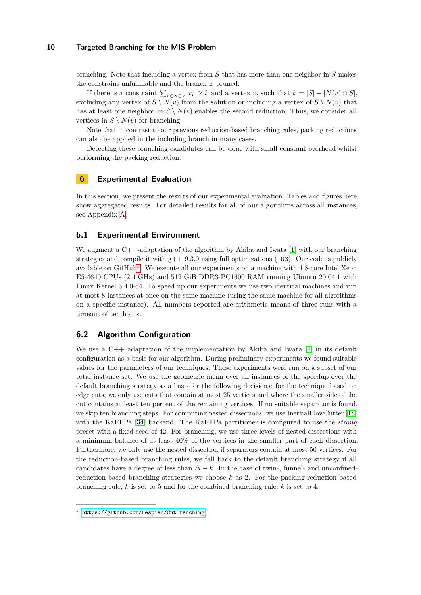branching. Note that including a vertex from *S* that has more than one neighbor in *S* makes the constraint unfulfillable and the branch is pruned.

If there is a constraint  $\sum_{v \in S \subset V} x_v \geq k$  and a vertex *v*, such that  $k = |S| - |N(v) \cap S|$ , excluding any vertex of  $S \setminus N(v)$  from the solution or including a vertex of  $S \setminus N(v)$  that has at least one neighbor in  $S \setminus N(v)$  enables the second reduction. Thus, we consider all vertices in  $S \setminus N(v)$  for branching.

Note that in contrast to our previous reduction-based branching rules, packing reductions can also be applied in the including branch in many cases.

Detecting these branching candidates can be done with small constant overhead whilst performing the packing reduction.

### **6 Experimental Evaluation**

In this section, we present the results of our experimental evaluation. Tables and figures here show aggregated results. For detailed results for all of our algorithms across all instances, see Appendix [A.](#page-17-0)

### **6.1 Experimental Environment**

We augment a C<sup>++</sup>-adaptation of the algorithm by Akiba and Iwata [\[1\]](#page-14-3) with our branching strategies and compile it with  $g++9.3.0$  using full optimizations (-03). Our code is publicly available on GitHub<sup>[1](#page-9-1)</sup>. We execute all our experiments on a machine with 4 8-core Intel Xeon E5-4640 CPUs (2.4 GHz) and 512 GiB DDR3-PC1600 RAM running Ubuntu 20.04.1 with Linux Kernel 5.4.0-64. To speed up our experiments we use two identical machines and run at most 8 instances at once on the same machine (using the same machine for all algorithms on a specific instance). All numbers reported are arithmetic means of three runs with a timeout of ten hours.

### <span id="page-9-0"></span>**6.2 Algorithm Configuration**

We use a  $C_{++}$  adaptation of the implementation by Akiba and Iwata [\[1\]](#page-14-3) in its default configuration as a basis for our algorithm. During preliminary experiments we found suitable values for the parameters of our techniques. These experiments were run on a subset of our total instance set. We use the geometric mean over all instances of the speedup over the default branching strategy as a basis for the following decisions: for the technique based on edge cuts, we only use cuts that contain at most 25 vertices and where the smaller side of the cut contains at least ten percent of the remaining vertices. If no suitable separator is found, we skip ten branching steps. For computing nested dissections, we use InertialFlowCutter [\[18\]](#page-15-15) with the KaFFPa [\[34\]](#page-16-7) backend. The KaFFPa partitioner is configured to use the *strong* preset with a fixed seed of 42. For branching, we use three levels of nested dissections with a minimum balance of at least 40% of the vertices in the smaller part of each dissection. Furthermore, we only use the nested dissection if separators contain at most 50 vertices. For the reduction-based branching rules, we fall back to the default branching strategy if all candidates have a degree of less than  $\Delta - k$ . In the case of twin-, funnel- and unconfinedreduction-based branching strategies we choose *k* as 2. For the packing-reduction-based branching rule, *k* is set to 5 and for the combined branching rule, *k* is set to 4.

<span id="page-9-1"></span><sup>1</sup> <https://github.com/Hespian/CutBranching>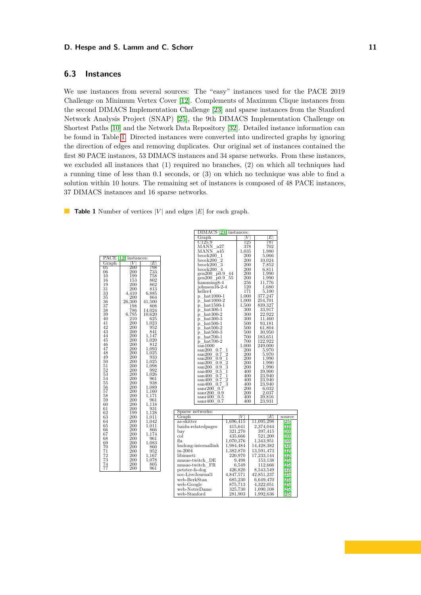### **D. Hespe and S. Lamm and C. Schorr 11 11**

### **6.3 Instances**

We use instances from several sources: The "easy" instances used for the PACE 2019 Challenge on Minimum Vertex Cover [\[12\]](#page-15-16). Complements of Maximum Clique instances from the second DIMACS Implementation Challenge [\[23\]](#page-15-17) and sparse instances from the Stanford Network Analysis Project (SNAP) [\[25\]](#page-15-18), the 9th DIMACS Implementation Challenge on Shortest Paths [\[10\]](#page-14-9) and the Network Data Repository [\[32\]](#page-16-8). Detailed instance information can be found in Table [1.](#page-10-0) Directed instances were converted into undirected graphs by ignoring the direction of edges and removing duplicates. Our original set of instances contained the first 80 PACE instances, 53 DIMACS instances and 34 sparse networks. From these instances, we excluded all instances that (1) required no branches, (2) on which all techniques had a running time of less than 0*.*1 seconds, or (3) on which no technique was able to find a solution within 10 hours. The remaining set of instances is composed of 48 PACE instances, 37 DIMACS instances and 16 sparse networks.

<span id="page-10-0"></span>**Table 1** Number of vertices  $|V|$  and edges  $|E|$  for each graph.

| PACE<br>H | 12 <br>instances: |                |
|-----------|-------------------|----------------|
| Graph     | V                 | $\overline{E}$ |
| 05        | 200               | 798            |
| 06        | 200               | 733            |
| 10        | 199               | 758            |
| 16        | 153               | 802            |
| 19        | 200               | 862            |
| 31        | 200               | 813            |
| 33        | 4,410             | 6,885          |
| 35        | 200               | 864            |
| 36        | 26,300            | 41,500         |
| 37        | 198               | 808            |
| 38        | 786               | 14,024         |
| 39        | 6,795             | 10,620         |
| 40        | 210               | 625            |
| 41        | 200               | 1,023          |
| 42        | 200               | 952            |
| 43<br>44  | 200<br>200        | 841<br>1,147   |
| 45        | 200               | 1,020          |
| 46        | 200               | 812            |
| 47        | 200               | 1,093          |
| 48        | 200               | 1,025          |
| 49        | 200               | 933            |
| 50        | 200               | 1,025          |
| 51        | 200               | 1,098          |
| 52        | 200               | 992            |
| 53        | 200               | 1,026          |
| 54        | 200               | 961            |
| 55        | 200               | 938            |
| 56        | 200               | $_{1.089}$     |
| 57        | 200               | 1,160          |
| 58        | 200               | 1,171          |
| 59        | 200               | 961            |
| 60        | 200               | 1,118          |
| 61        | 200               | 931            |
| 62        | 199               | 1,128          |
| 63        | 200               | 1,011          |
| 64        | 200               | 1,042          |
| 65        | 200               | 1,011          |
| 66<br>67  | $_{200}$<br>200   | 866            |
| 68        | 200               | 1,174<br>961   |
| 69        | 200               | 1,083          |
| 70        | 200               | 860            |
| 71        | 200               | 952            |
| 72        | 200               | 1,167          |
| 73        | 200               | 1,078          |
| 74        | 200               | 805            |
| 77        | 200               | 961            |

| DIMACS                                           | 23        | instances: |                            |         |
|--------------------------------------------------|-----------|------------|----------------------------|---------|
| $\operatorname{Graph}$                           |           | V          | Е                          |         |
| C125.9                                           |           | 125        | 787                        |         |
| MANN<br>a27                                      |           | 378        | 702                        |         |
| MANN<br>a45                                      |           | 1,035      | $_{1,980}$                 |         |
| brock200<br>1                                    |           | 200        | 5,066                      |         |
| brock200<br>2                                    |           | 200        | 10,024                     |         |
| 3<br>$_{\rm break200}$                           |           | 200        | 7,852                      |         |
| $_{\rm break200}$<br>4                           |           | 200        | 6,811                      |         |
| gen200<br>p0.9                                   | 44        | 200        | 1,990                      |         |
| gen200<br>$_{\rm p0.9}$                          | 55        | 200        |                            |         |
| hamming8-4                                       |           | 256        | $\substack{1,990 \11,776}$ |         |
| johnson16-2-4                                    |           | 120        | 1,680                      |         |
| keller4                                          |           | 171        | 5,100                      |         |
| $hat1000-1$<br>p                                 |           | 1,000      | 377,247                    |         |
| $_{\rm hat1000-2}$<br>p                          |           | 1,000      | 254,701                    |         |
| $hat1500-1$<br>p                                 |           | 1,500      | 839,327                    |         |
| $hat300-1$<br>p                                  |           | 300        | 33,917                     |         |
| $hat300-2$<br>P                                  |           | 300        | 22,922                     |         |
| $hat300-3$<br>р                                  |           | 300        | 11,460                     |         |
| $hat500-1$<br>P.                                 |           | 500        | 93,181                     |         |
| $hat500-2$<br>p                                  |           | 500        | 61,804                     |         |
| $hat500-3$<br>P.                                 |           | 500        | 30,950                     |         |
| $hat700-1$<br>p                                  |           | 700        | 183,651                    |         |
| $hat700-2$<br>p                                  |           | 700        | 122,922                    |         |
| san1000                                          |           | 1,000      | 249,000                    |         |
| san200<br>0.7                                    | 1         | <b>200</b> | 5,970                      |         |
| 0.7<br>$\mathrm{san}200$                         | 2         | <b>200</b> | 5,970                      |         |
| san200<br>0.9                                    | 1         | 200        | 1,990                      |         |
| san200<br>$_{0.9}$                               | 2         | 200        | 1.990                      |         |
| $\mathrm{san}200$<br>$_{0.9}$                    | 3         | 200        | 1,990                      |         |
| $_{0.5}$<br>$\sin\!400$                          | 1         | 400        | 39,900<br>23,940           |         |
| 0.7<br>$\sin\!400$                               | 1         | 400        |                            |         |
| $\sin\!400$<br>0.7                               | 2         | 400        | 23,940                     |         |
| 0.7<br>$\sin\!400$                               | 3         | 400        | 23,940                     |         |
| $\mathrm{sanr}200$<br>0.7                        |           | 200        | 6,032                      |         |
| 0.9<br>$\mathrm{sanr}200$<br>sanr400<br>$_{0.5}$ |           | 200<br>400 | 2,037<br>39,816            |         |
| 0.7<br>$\mathrm{sanr}400$                        |           | 400        | 23.931                     |         |
|                                                  |           |            |                            |         |
|                                                  |           |            |                            |         |
| Sparse networks:                                 |           | V          |                            |         |
| Graph                                            |           |            | Е                          | source  |
| as-skitter                                       | 1,696,415 |            | 11,095,298                 | 25      |
| baidu-relatedpages                               |           | 415,641    | 2,374,044                  | 32      |
| bay                                              |           | 321,270    | 397,415                    | 10      |
| col                                              |           | 435,666    | 521,200                    | $^{10}$ |
| fla                                              | 1,070,376 |            | 1,343,951                  | 10      |
| hudong-internallink                              | 1,984,484 |            | 14,428,382                 | 32      |
| in-2004                                          | 1,382,870 |            | 13,591,473                 | 32      |
| libimseti                                        |           | 220,970    | 17,233,144                 | 32      |
| musae-twitch<br>DE                               |           | 9,498      | 153,138                    | 25      |
| musae-twitch<br>FR.                              |           | 6.549      | 112,666                    | 25      |
| petster-fs-dog                                   |           | 426,820    | 8,543,549                  | 32      |
| soc-LiveJournal1                                 | 4,847,571 |            | 42,851,237                 | 25      |
| web-BerkStan                                     |           | 685,230    | 6,649,470                  | 25      |
| web-Google                                       |           | 875,713    | 4,322,051                  | 25      |
| $web-NotreDame$                                  |           | 325,730    | $1,\!090,\!108$            | 25      |
| web-Stanford                                     |           | 281,903    | 1,992,636                  | 25      |
|                                                  |           |            |                            |         |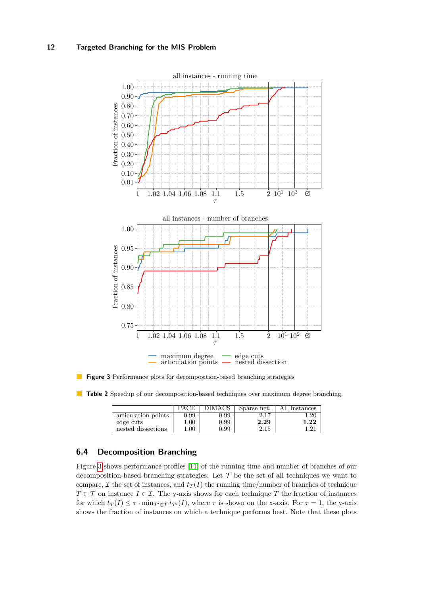<span id="page-11-0"></span>

**Figure 3** Performance plots for decomposition-based branching strategies

<span id="page-11-1"></span>**Table 2** Speedup of our decomposition-based techniques over maximum degree branching.

|                     |          | DIMACS            | Sparse net. | All Instances |
|---------------------|----------|-------------------|-------------|---------------|
| articulation points | 0.99     | 0.99              | 2.17        | .20           |
| edge cuts           | $1.00\,$ | 0.99              | 2.29        | 1.22          |
| nested dissections  | .00.     | 0.99 <sup>°</sup> | 2.15        |               |

### <span id="page-11-2"></span>**6.4 Decomposition Branching**

Figure [3](#page-11-0) shows performance profiles [\[11\]](#page-14-10) of the running time and number of branches of our decomposition-based branching strategies: Let  $\mathcal T$  be the set of all techniques we want to compare,  $\mathcal I$  the set of instances, and  $t_T(I)$  the running time/number of branches of technique  $T \in \mathcal{T}$  on instance  $I \in \mathcal{I}$ . The y-axis shows for each technique *T* the fraction of instances for which  $t_T(I) \leq \tau \cdot \min_{T' \in \mathcal{T}} t_{T'}(I)$ , where  $\tau$  is shown on the x-axis. For  $\tau = 1$ , the y-axis shows the fraction of instances on which a technique performs best. Note that these plots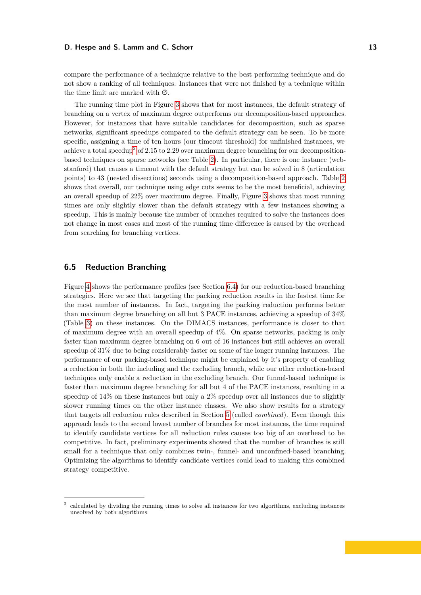#### **D. Hespe and S. Lamm and C. Schorr 13 13**

compare the performance of a technique relative to the best performing technique and do not show a ranking of all techniques. Instances that were not finished by a technique within the time limit are marked with  $\Theta$ .

The running time plot in Figure [3](#page-11-0) shows that for most instances, the default strategy of branching on a vertex of maximum degree outperforms our decomposition-based approaches. However, for instances that have suitable candidates for decomposition, such as sparse networks, significant speedups compared to the default strategy can be seen. To be more specific, assigning a time of ten hours (our timeout threshold) for unfinished instances, we achieve a total speedup[2](#page-12-0) of 2*.*15 to 2*.*29 over maximum degree branching for our decompositionbased techniques on sparse networks (see Table [2\)](#page-11-1). In particular, there is one instance (webstanford) that causes a timeout with the default strategy but can be solved in 8 (articulation points) to 43 (nested dissections) seconds using a decomposition-based approach. Table [2](#page-11-1) shows that overall, our technique using edge cuts seems to be the most beneficial, achieving an overall speedup of 22% over maximum degree. Finally, Figure [3](#page-11-0) shows that most running times are only slightly slower than the default strategy with a few instances showing a speedup. This is mainly because the number of branches required to solve the instances does not change in most cases and most of the running time difference is caused by the overhead from searching for branching vertices.

### **6.5 Reduction Branching**

Figure [4](#page-13-0) shows the performance profiles (see Section [6.4\)](#page-11-2) for our reduction-based branching strategies. Here we see that targeting the packing reduction results in the fastest time for the most number of instances. In fact, targeting the packing reduction performs better than maximum degree branching on all but 3 PACE instances, achieving a speedup of 34% (Table [3\)](#page-13-1) on these instances. On the DIMACS instances, performance is closer to that of maximum degree with an overall speedup of 4%. On sparse networks, packing is only faster than maximum degree branching on 6 out of 16 instances but still achieves an overall speedup of 31% due to being considerably faster on some of the longer running instances. The performance of our packing-based technique might be explained by it's property of enabling a reduction in both the including and the excluding branch, while our other reduction-based techniques only enable a reduction in the excluding branch. Our funnel-based technique is faster than maximum degree branching for all but 4 of the PACE instances, resulting in a speedup of 14% on these instances but only a 2% speedup over all instances due to slightly slower running times on the other instance classes. We also show results for a strategy that targets all reduction rules described in Section [5](#page-5-0) (called *combined*). Even though this approach leads to the second lowest number of branches for most instances, the time required to identify candidate vertices for all reduction rules causes too big of an overhead to be competitive. In fact, preliminary experiments showed that the number of branches is still small for a technique that only combines twin-, funnel- and unconfined-based branching. Optimizing the algorithms to identify candidate vertices could lead to making this combined strategy competitive.

<span id="page-12-0"></span><sup>2</sup> calculated by dividing the running times to solve all instances for two algorithms, excluding instances unsolved by both algorithms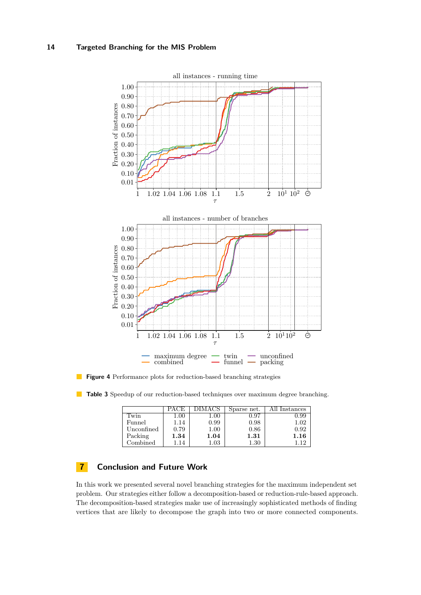<span id="page-13-0"></span>

**Figure 4** Performance plots for reduction-based branching strategies

<span id="page-13-1"></span>**Table 3** Speedup of our reduction-based techniques over maximum degree branching.

|                           | PACE)    |          | Sparse net. | Instances |
|---------------------------|----------|----------|-------------|-----------|
| Twin                      | $1.00\,$ | 1.00     | J.97        | 1.99      |
| Funnel                    | 1.14     | 0.99     | 0.98        | $1.02\,$  |
| Unconfined                | 0.79     | $1.00\,$ | 0.86        | 0.92      |
| Packing                   | $1.34\,$ | 1.04     | 1.31        | 1.16      |
| $\operatorname{Combined}$ | .14      | $1.03\,$ | $1.30\,$    |           |

## **7 Conclusion and Future Work**

In this work we presented several novel branching strategies for the maximum independent set problem. Our strategies either follow a decomposition-based or reduction-rule-based approach. The decomposition-based strategies make use of increasingly sophisticated methods of finding vertices that are likely to decompose the graph into two or more connected components.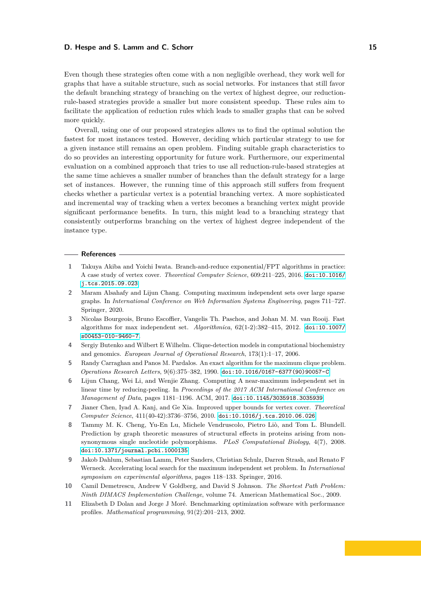#### **D. Hespe and S. Lamm and C. Schorr 15 15 15**

Even though these strategies often come with a non negligible overhead, they work well for graphs that have a suitable structure, such as social networks. For instances that still favor the default branching strategy of branching on the vertex of highest degree, our reductionrule-based strategies provide a smaller but more consistent speedup. These rules aim to facilitate the application of reduction rules which leads to smaller graphs that can be solved more quickly.

Overall, using one of our proposed strategies allows us to find the optimal solution the fastest for most instances tested. However, deciding which particular strategy to use for a given instance still remains an open problem. Finding suitable graph characteristics to do so provides an interesting opportunity for future work. Furthermore, our experimental evaluation on a combined approach that tries to use all reduction-rule-based strategies at the same time achieves a smaller number of branches than the default strategy for a large set of instances. However, the running time of this approach still suffers from frequent checks whether a particular vertex is a potential branching vertex. A more sophisticated and incremental way of tracking when a vertex becomes a branching vertex might provide significant performance benefits. In turn, this might lead to a branching strategy that consistently outperforms branching on the vertex of highest degree independent of the instance type.

#### **References**

- <span id="page-14-3"></span>**1** Takuya Akiba and Yoichi Iwata. Branch-and-reduce exponential/FPT algorithms in practice: A case study of vertex cover. *Theoretical Computer Science*, 609:211–225, 2016. [doi:10.1016/](https://doi.org/10.1016/j.tcs.2015.09.023) [j.tcs.2015.09.023](https://doi.org/10.1016/j.tcs.2015.09.023).
- <span id="page-14-6"></span>**2** Maram Alsahafy and Lijun Chang. Computing maximum independent sets over large sparse graphs. In *International Conference on Web Information Systems Engineering*, pages 711–727. Springer, 2020.
- <span id="page-14-7"></span>**3** Nicolas Bourgeois, Bruno Escoffier, Vangelis Th. Paschos, and Johan M. M. van Rooij. Fast algorithms for max independent set. *Algorithmica*, 62(1-2):382–415, 2012. [doi:10.1007/](https://doi.org/10.1007/s00453-010-9460-7) [s00453-010-9460-7](https://doi.org/10.1007/s00453-010-9460-7).
- <span id="page-14-0"></span>**4** Sergiy Butenko and Wilbert E Wilhelm. Clique-detection models in computational biochemistry and genomics. *European Journal of Operational Research*, 173(1):1–17, 2006.
- <span id="page-14-8"></span>**5** Randy Carraghan and Panos M. Pardalos. An exact algorithm for the maximum clique problem. *Operations Research Letters*, 9(6):375–382, 1990. [doi:10.1016/0167-6377\(90\)90057-C](https://doi.org/10.1016/0167-6377(90)90057-C).
- <span id="page-14-4"></span>**6** Lijun Chang, Wei Li, and Wenjie Zhang. Computing A near-maximum independent set in linear time by reducing-peeling. In *Proceedings of the 2017 ACM International Conference on Management of Data*, pages 1181–1196. ACM, 2017. [doi:10.1145/3035918.3035939](https://doi.org/10.1145/3035918.3035939).
- <span id="page-14-2"></span>**7** Jianer Chen, Iyad A. Kanj, and Ge Xia. Improved upper bounds for vertex cover. *Theoretical Computer Science*, 411(40-42):3736–3756, 2010. [doi:10.1016/j.tcs.2010.06.026](https://doi.org/10.1016/j.tcs.2010.06.026).
- <span id="page-14-1"></span>**8** Tammy M. K. Cheng, Yu-En Lu, Michele Vendruscolo, Pietro Liò, and Tom L. Blundell. Prediction by graph theoretic measures of structural effects in proteins arising from nonsynonymous single nucleotide polymorphisms. *PLoS Computational Biology*, 4(7), 2008. [doi:10.1371/journal.pcbi.1000135](https://doi.org/10.1371/journal.pcbi.1000135).
- <span id="page-14-5"></span>**9** Jakob Dahlum, Sebastian Lamm, Peter Sanders, Christian Schulz, Darren Strash, and Renato F Werneck. Accelerating local search for the maximum independent set problem. In *International symposium on experimental algorithms*, pages 118–133. Springer, 2016.
- <span id="page-14-9"></span>**10** Camil Demetrescu, Andrew V Goldberg, and David S Johnson. *The Shortest Path Problem: Ninth DIMACS Implementation Challenge*, volume 74. American Mathematical Soc., 2009.
- <span id="page-14-10"></span>**11** Elizabeth D Dolan and Jorge J Moré. Benchmarking optimization software with performance profiles. *Mathematical programming*, 91(2):201–213, 2002.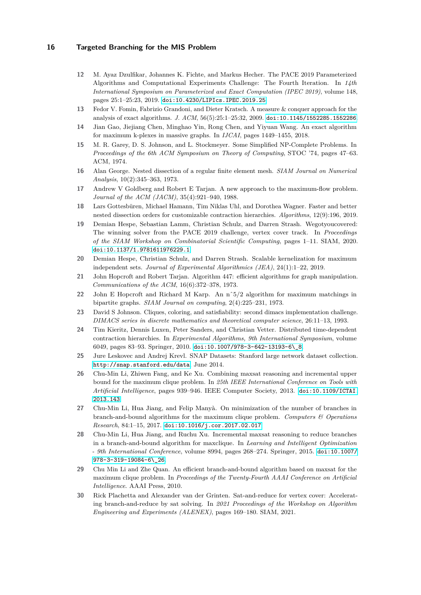- <span id="page-15-16"></span>**12** M. Ayaz Dzulfikar, Johannes K. Fichte, and Markus Hecher. The PACE 2019 Parameterized Algorithms and Computational Experiments Challenge: The Fourth Iteration. In *14th International Symposium on Parameterized and Exact Computation (IPEC 2019)*, volume 148, pages 25:1–25:23, 2019. [doi:10.4230/LIPIcs.IPEC.2019.25](https://doi.org/10.4230/LIPIcs.IPEC.2019.25).
- <span id="page-15-6"></span>**13** Fedor V. Fomin, Fabrizio Grandoni, and Dieter Kratsch. A measure & conquer approach for the analysis of exact algorithms. *J. ACM*, 56(5):25:1–25:32, 2009. [doi:10.1145/1552285.1552286](https://doi.org/10.1145/1552285.1552286).
- <span id="page-15-5"></span>**14** Jian Gao, Jiejiang Chen, Minghao Yin, Rong Chen, and Yiyuan Wang. An exact algorithm for maximum k-plexes in massive graphs. In *IJCAI*, pages 1449–1455, 2018.
- <span id="page-15-0"></span>**15** M. R. Garey, D. S. Johnson, and L. Stockmeyer. Some Simplified NP-Complete Problems. In *Proceedings of the 6th ACM Symposium on Theory of Computing*, STOC '74, pages 47–63. ACM, 1974.
- <span id="page-15-14"></span>**16** Alan George. Nested dissection of a regular finite element mesh. *SIAM Journal on Numerical Analysis*, 10(2):345–363, 1973.
- <span id="page-15-12"></span>**17** Andrew V Goldberg and Robert E Tarjan. A new approach to the maximum-flow problem. *Journal of the ACM (JACM)*, 35(4):921–940, 1988.
- <span id="page-15-15"></span>**18** Lars Gottesbüren, Michael Hamann, Tim Niklas Uhl, and Dorothea Wagner. Faster and better nested dissection orders for customizable contraction hierarchies. *Algorithms*, 12(9):196, 2019.
- <span id="page-15-2"></span>**19** Demian Hespe, Sebastian Lamm, Christian Schulz, and Darren Strash. Wegotyoucovered: The winning solver from the PACE 2019 challenge, vertex cover track. In *Proceedings of the SIAM Workshop on Combinatorial Scientific Computing*, pages 1–11. SIAM, 2020. [doi:10.1137/1.9781611976229.1](https://doi.org/10.1137/1.9781611976229.1).
- <span id="page-15-3"></span>**20** Demian Hespe, Christian Schulz, and Darren Strash. Scalable kernelization for maximum independent sets. *Journal of Experimental Algorithmics (JEA)*, 24(1):1–22, 2019.
- <span id="page-15-11"></span>**21** John Hopcroft and Robert Tarjan. Algorithm 447: efficient algorithms for graph manipulation. *Communications of the ACM*, 16(6):372–378, 1973.
- <span id="page-15-13"></span>**22** John E Hopcroft and Richard M Karp. An nˆ5/2 algorithm for maximum matchings in bipartite graphs. *SIAM Journal on computing*, 2(4):225–231, 1973.
- <span id="page-15-17"></span>**23** David S Johnson. Cliques, coloring, and satisfiability: second dimacs implementation challenge. *DIMACS series in discrete mathematics and theoretical computer science*, 26:11–13, 1993.
- <span id="page-15-1"></span>**24** Tim Kieritz, Dennis Luxen, Peter Sanders, and Christian Vetter. Distributed time-dependent contraction hierarchies. In *Experimental Algorithms, 9th International Symposium*, volume 6049, pages 83–93. Springer, 2010. [doi:10.1007/978-3-642-13193-6\\\_8](https://doi.org/10.1007/978-3-642-13193-6_8).
- <span id="page-15-18"></span>**25** Jure Leskovec and Andrej Krevl. SNAP Datasets: Stanford large network dataset collection. <http://snap.stanford.edu/data>, June 2014.
- <span id="page-15-7"></span>**26** Chu-Min Li, Zhiwen Fang, and Ke Xu. Combining maxsat reasoning and incremental upper bound for the maximum clique problem. In *25th IEEE International Conference on Tools with Artificial Intelligence*, pages 939–946. IEEE Computer Society, 2013. [doi:10.1109/ICTAI.](https://doi.org/10.1109/ICTAI.2013.143) [2013.143](https://doi.org/10.1109/ICTAI.2013.143).
- <span id="page-15-8"></span>**27** Chu-Min Li, Hua Jiang, and Felip Manyà. On minimization of the number of branches in branch-and-bound algorithms for the maximum clique problem. *Computers & Operations Research*, 84:1–15, 2017. [doi:10.1016/j.cor.2017.02.017](https://doi.org/10.1016/j.cor.2017.02.017).
- <span id="page-15-10"></span>**28** Chu-Min Li, Hua Jiang, and Ruchu Xu. Incremental maxsat reasoning to reduce branches in a branch-and-bound algorithm for maxclique. In *Learning and Intelligent Optimization - 9th International Conference*, volume 8994, pages 268–274. Springer, 2015. [doi:10.1007/](https://doi.org/10.1007/978-3-319-19084-6_26) [978-3-319-19084-6\\\_26](https://doi.org/10.1007/978-3-319-19084-6_26).
- <span id="page-15-9"></span>**29** Chu Min Li and Zhe Quan. An efficient branch-and-bound algorithm based on maxsat for the maximum clique problem. In *Proceedings of the Twenty-Fourth AAAI Conference on Artificial Intelligence*. AAAI Press, 2010.
- <span id="page-15-4"></span>**30** Rick Plachetta and Alexander van der Grinten. Sat-and-reduce for vertex cover: Accelerating branch-and-reduce by sat solving. In *2021 Proceedings of the Workshop on Algorithm Engineering and Experiments (ALENEX)*, pages 169–180. SIAM, 2021.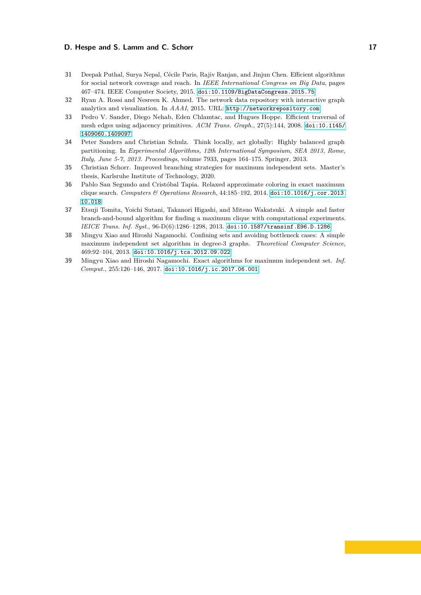### **D. Hespe and S. Lamm and C. Schorr 17 17 17**

- <span id="page-16-1"></span>**31** Deepak Puthal, Surya Nepal, Cécile Paris, Rajiv Ranjan, and Jinjun Chen. Efficient algorithms for social network coverage and reach. In *IEEE International Congress on Big Data*, pages 467–474. IEEE Computer Society, 2015. [doi:10.1109/BigDataCongress.2015.75](https://doi.org/10.1109/BigDataCongress.2015.75).
- <span id="page-16-8"></span>**32** Ryan A. Rossi and Nesreen K. Ahmed. The network data repository with interactive graph analytics and visualization. In *AAAI*, 2015. URL: <http://networkrepository.com>.
- <span id="page-16-0"></span>**33** Pedro V. Sander, Diego Nehab, Eden Chlamtac, and Hugues Hoppe. Efficient traversal of mesh edges using adjacency primitives. *ACM Trans. Graph.*, 27(5):144, 2008. [doi:10.1145/](https://doi.org/10.1145/1409060.1409097) [1409060.1409097](https://doi.org/10.1145/1409060.1409097).
- <span id="page-16-7"></span>**34** Peter Sanders and Christian Schulz. Think locally, act globally: Highly balanced graph partitioning. In *Experimental Algorithms, 12th International Symposium, SEA 2013, Rome, Italy, June 5-7, 2013. Proceedings*, volume 7933, pages 164–175. Springer, 2013.
- <span id="page-16-3"></span>**35** Christian Schorr. Improved branching strategies for maximum independent sets. Master's thesis, Karlsruhe Institute of Technology, 2020.
- <span id="page-16-4"></span>**36** Pablo San Segundo and Cristóbal Tapia. Relaxed approximate coloring in exact maximum clique search. *Computers & Operations Research*, 44:185–192, 2014. [doi:10.1016/j.cor.2013.](https://doi.org/10.1016/j.cor.2013.10.018) [10.018](https://doi.org/10.1016/j.cor.2013.10.018).
- <span id="page-16-5"></span>**37** Etsuji Tomita, Yoichi Sutani, Takanori Higashi, and Mitsuo Wakatsuki. A simple and faster branch-and-bound algorithm for finding a maximum clique with computational experiments. *IEICE Trans. Inf. Syst.*, 96-D(6):1286–1298, 2013. [doi:10.1587/transinf.E96.D.1286](https://doi.org/10.1587/transinf.E96.D.1286).
- <span id="page-16-6"></span>**38** Mingyu Xiao and Hiroshi Nagamochi. Confining sets and avoiding bottleneck cases: A simple maximum independent set algorithm in degree-3 graphs. *Theoretical Computer Science*, 469:92–104, 2013. [doi:10.1016/j.tcs.2012.09.022](https://doi.org/10.1016/j.tcs.2012.09.022).
- <span id="page-16-2"></span>**39** Mingyu Xiao and Hiroshi Nagamochi. Exact algorithms for maximum independent set. *Inf. Comput.*, 255:126–146, 2017. [doi:10.1016/j.ic.2017.06.001](https://doi.org/10.1016/j.ic.2017.06.001).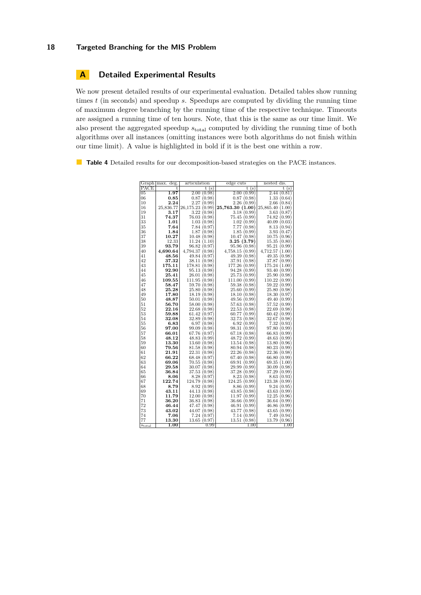### <span id="page-17-0"></span>**A Detailed Experimental Results**

We now present detailed results of our experimental evaluation. Detailed tables show running times *t* (in seconds) and speedup *s*. Speedups are computed by dividing the running time of maximum degree branching by the running time of the respective technique. Timeouts are assigned a running time of ten hours. Note, that this is the same as our time limit. We also present the aggregated speedup *s*total computed by dividing the running time of both algorithms over all instances (omitting instances were both algorithms do not finish within our time limit). A value is highlighted in bold if it is the best one within a row.

**Table 4** Detailed results for our decomposition-based strategies on the PACE instances.

|                 | Graph max. deg. | articulation    | edge cuts          | nested dis.        |
|-----------------|-----------------|-----------------|--------------------|--------------------|
| PACE            | t               | t(s)            | t(s)               | t(s)               |
| $\overline{05}$ | 1.97            | 2.00(0.98)      | 2.00(0.99)         | 2.44(0.81)         |
| 06              | $_{0.85}$       | 0.87(0.98)      | 0.87(0.98)         | 1.33(0.64)         |
| 10              | 2.24            | 2.27(0.99)      | 2.26(0.99)         | 2.66(0.84)         |
| 16              | 25,836.77       | 26,175.23(0.99) | 25,763.30 (1.00)   | 25,865.40 (1.00)   |
| 19              | 3.17            | 3.22(0.98)      | 3.18(0.99)         | 3.63(0.87)         |
| 31              | 74.37           | 76.03 (0.98)    | 75.45 (0.99)       | 74.82(0.99)        |
| 33              | 1.01            | 1.03(0.98)      | 1.02(0.99)         | 40.09(0.03)        |
| 35              | 7.64            | 7.84(0.97)      | 7.77(0.98)         | 8.13(0.94)         |
| 36              | 1.84            | 1.87(0.98)      | 1.85(0.99)         | 3.93(0.47)         |
| 37              | 10.27           | 10.48(0.98)     | 10.47(0.98)        | 10.75(0.96)        |
| 38              | 12.33           | 11.24(1.10)     | 3.25(3.79)         | 15.35(0.80)        |
| 39              |                 | 96.82(0.97)     | 95.96(0.98)        | 95.21 (0.99)       |
|                 | 93.79           |                 |                    |                    |
| 40              | 4.690.64        | 4.794.37(0.98)  | 4.758.15<br>(0.99) | 4,712.57<br>(1.00) |
| 41              | 48.56           | 49.84 (0.97)    | 49.39 (0.98)       | 49.35(0.98)        |
| 42              | 37.32           | 38.11 (0.98)    | 37.91 (0.98)       | 37.87 (0.99)       |
| 43              | 175.11          | 178.81 (0.98)   | 177.26 (0.99)      | 175.24(1.00)       |
| 44              | 92.90           | 95.13(0.98)     | 94.28(0.99)        | 93.40(0.99)        |
| 45              | 25.41           | 26.01(0.98)     | 25.73(0.99)        | 25.90(0.98)        |
| 46              | 109.55          | 111.95(0.98)    | 111.00(0.99)       | 110.22(0.99)       |
| 47              | 58.47           | 59.70 (0.98)    | 59.38 (0.98)       | 59.22 (0.99)       |
| 48              | 25.28           | 25.80(0.98)     | 25.60(0.99)        | 25.80(0.98)        |
| 49              | 17.80           | 18.19(0.98)     | 18.10(0.98)        | 18.30(0.97)        |
| 50              | 48.87           | 50.01(0.98)     | 49.56(0.99)        | 49.40 (0.99)       |
| 51              | 56.70           | 58.00 (0.98)    | 57.63(0.98)        | 57.52(0.99)        |
| 52              | 22.16           | 22.68(0.98)     | 22.53(0.98)        | 22.69(0.98)        |
| 53              | 59.88           | 61.42(0.97)     | 60.77(0.99)        | 60.42<br>(0.99)    |
| 54              | 32.08           | 32.89(0.98)     | 32.73 (0.98)       | 32.67 (0.98)       |
| 55              | 6.83            | 6.97(0.98)      | 6.92(0.99)         | 7.32(0.93)         |
| 56              | 97.00           | 99.09 (0.98)    | 98.31 (0.99)       | 97.80 (0.99)       |
| 57              | 66.01           | 67.76 (0.97)    | 67.18(0.98)        | 66.83(0.99)        |
| 58              | 48.12           | 48.83 (0.99)    | 48.72 (0.99)       | 48.63(0.99)        |
| 59              | 13.30           | 13.60(0.98)     | 13.54(0.98)        | 13.80(0.96)        |
| 60              | 79.56           | 81.58 (0.98)    | 80.94 (0.98)       | 80.23 (0.99)       |
| 61              | 21.91           | 22.31(0.98)     | 22.26(0.98)        | 22.36(0.98)        |
| 62              | 66.22           | 68.48 (0.97)    | 67.40 (0.98)       | 66.80(0.99)        |
| 63              | 69.06           | 70.55(0.98)     | 69.91(0.99)        | 69.35(1.00)        |
| 64              | 29.58           | 30.07(0.98)     | 29.99(0.99)        | 30.09(0.98)        |
| 65              | 36.84           | 37.53 (0.98)    | 37.28(0.99)        | 37.29 (0.99)       |
| 66              | 8.06            | 8.28(0.97)      | 8.23<br>(0.98)     | 8.63<br>(0.93)     |
| 67              | 122.74          | 124.79 (0.98)   | 124.25 (0.99)      | 123.38(0.99)       |
| 68              | 8.79            | 8.92 (0.99)     | 8.86(0.99)         | 9.24(0.95)         |
| 69              | 43.11           | 44.13(0.98)     | 43.85(0.98)        | 43.63(0.99)        |
| 70              | 11.79           | 12.00(0.98)     | 11.97(0.99)        | 12.25(0.96)        |
| 71              | 36.20           | 36.83(0.98)     | 36.66 (0.99)       | 36.64 (0.99)       |
| 72              | 46.44           | 47.47 (0.98)    | 46.91(0.99)        | 46.86(0.99)        |
| 73              | 43.02           | 44.07 (0.98)    | 43.77 (0.98)       | 43.65(0.99)        |
| 74              | 7.06            | 7.24 (0.97)     | 7.14(0.99)         | 7.49(0.94)         |
| 77              | 13.30           | 13.65(0.97)     | 13.51(0.98)        | 13.79(0.96)        |
|                 | 1.00            | 0.99            | $1.00\,$           | $1.00\,$           |
| $s_{\rm total}$ |                 |                 |                    |                    |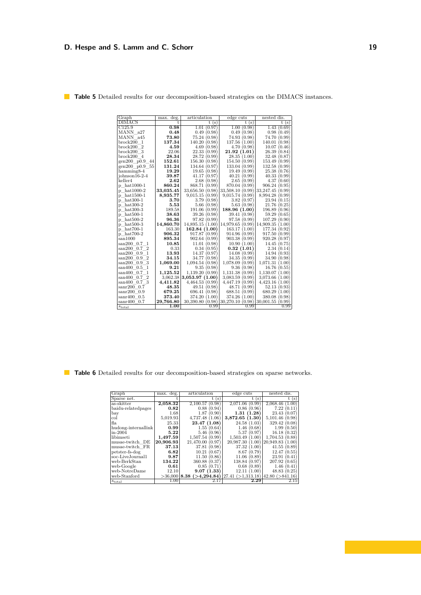## **D. Hespe and S. Lamm and C. Schorr 19 19**

| Graph                               | max. deg. | articulation        | edge cuts           | nested dis.         |
|-------------------------------------|-----------|---------------------|---------------------|---------------------|
| <b>DIMACS</b>                       | t.        | t(s)                | t(s)                | t(s)                |
| C125.9                              | 0.98      | 1.01(0.97)          | (0.98)<br>1.00      | (0.69)<br>1.43      |
| MANN a27                            | 0.48      | 0.49<br>(0.98)      | 0.49<br>(0.98)      | 0.98<br>(0.49)      |
| MANN a45                            | 73.80     | 75.24<br>(0.98)     | 74.93<br>(0.98)     | 74.70 (0.99)        |
| $b$ rock $200$<br>-1                | 137.34    | (0.98)<br>140.20    | 137.56<br>(1.00)    | 140.01<br>(0.98)    |
| brock200<br>$\overline{2}$          | 4.59      | 4.69<br>(0.98)      | 4.70(0.98)          | 10.07<br>(0.46)     |
| brock200<br>3                       | 22.06     | 22.33<br>(0.99)     | 21.92(1.01)         | 26.39<br>(0.84)     |
| brock200 <sub>4</sub>               | 28.34     | 28.72<br>(0.99)     | 28.35(1.00)         | 32.48<br>(0.87)     |
| gen200 p0.9<br>44                   | 152.61    | 156.30<br>(0.98)    | 154.50<br>(0.99)    | 153.49<br>(0.99)    |
| gen200 p0.9 55                      | 131.24    | 134.64<br>(0.97)    | 133.04<br>(0.99)    | 132.58<br>(0.99)    |
| hamming8-4                          | 19.29     | 19.65<br>(0.98)     | 19.49<br>(0.99)     | 25.38<br>(0.76)     |
| $ioh nson 16-2-4$                   | 39.87     | 41.17<br>(0.97)     | 40.21<br>(0.99)     | 40.33<br>(0.99)     |
| keller4                             | 2.62      | 2.68<br>(0.98)      | $2.65\,$<br>(0.99)  | 4.37<br>(0.60)      |
| p hat1000-1                         | 860.24    | 868.71<br>(0.99)    | 870.04<br>(0.99)    | 906.24<br>(0.95)    |
| $hat1000-2$<br>$\mathbf{p}$         | 33,035.45 | 33,656.50<br>(0.98) | 33,508.10<br>(0.99) | 33,247.45<br>(0.99) |
| $hat1500-1$<br>p                    | 8,935.77  | 9,015.15<br>(0.99)  | 9,015.74<br>(0.99)  | 8,994.28<br>(0.99)  |
| $hat300-1$<br>p                     | 3.70      | 3.79<br>(0.98)      | 3.82<br>(0.97)      | 23.94<br>(0.15)     |
| $hat300-2$<br>p                     | 5.53      | 5.66<br>(0.98)      | 5.63(0.98)          | 21.76<br>(0.25)     |
| $hat300-3$<br>p                     | 189.58    | 191.06<br>(0.99)    | 188.96(1.00)        | 196.89<br>(0.96)    |
| $hat500-1$<br>р                     | 38.63     | 39.26<br>(0.98)     | 39.41 (0.98)        | 59.29<br>(0.65)     |
| $hat500-2$<br>р                     | 96.36     | 97.82<br>(0.99)     | 97.58<br>(0.99)     | 107.29<br>(0.90)    |
| $hat500-3$<br>р                     | 14,860.70 | 14,895.15<br>(1.00) | 14,979.65<br>(0.99) | 14,909.35<br>(1.00) |
| $hat700-1$<br>p                     | 163.30    | 162.84(1.00)        | 163.17<br>(1.00)    | 177.34<br>(0.92)    |
| p hat 700-2                         | 906.32    | 917.87 (0.99)       | 914.96<br>(0.99)    | (0.99)<br>917.50    |
| san1000                             | 895.34    | 902.64 (0.99)       | 903.38<br>(0.99)    | 920.28<br>(0.97)    |
| $san200$ 0.7<br>-1                  | 10.85     | 11.01(0.98)         | 10.90(1.00)         | 14.45<br>(0.75)     |
| $\overline{2}$<br>$\sin 200$<br>0.7 | 0.33      | 0.34(0.95)          | 0.32(1.01)          | 2.34<br>(0.14)      |
| 0.9<br>1<br>$\sin 200$              | 13.93     | 14.37<br>(0.97)     | 14.08(0.99)         | 14.94(0.93)         |
| $\overline{2}$<br>$\sin 200$<br>0.9 | 34.15     | 34.77<br>(0.98)     | 34.35<br>(0.99)     | 34.90 (0.98)        |
| 3<br>$\sin 200$<br>0.9              | 1.069.00  | 1.094.54<br>(0.98)  | 1,078.09<br>(0.99)  | 1,071.31<br>(1.00)  |
| san400<br>0.5<br>1                  | 9.21      | 9.35<br>(0.98)      | 9.36<br>(0.98)      | 16.76 (0.55)        |
| 1<br>$\sin 400$<br>0.7              | 1,125.52  | 1,139.20<br>(0.99)  | 1.131.38<br>(0.99)  | 1.130.07<br>(1.00)  |
| $\overline{2}$<br>$\sin 400$<br>0.7 | 3.062.38  | 3,053.97(1.00)      | 3,083.59<br>(0.99)  | 3,073.66<br>(1.00)  |
| $0.7-3$<br>$\sin 400$               | 4,411.82  | 4,464.53(0.99)      | 4,447.19<br>(0.99)  | 4,423.16<br>(1.00)  |
| $sanr200$ 0.7                       | 48.35     | 49.51<br>(0.98)     | 48.71<br>(0.99)     | 52.13<br>(0.93)     |
| $sanr200$ 0.9                       | 679.25    | 696.41<br>(0.98)    | 688.51<br>(0.99)    | 680.29<br>(1.00)    |
| $sanr400$ 0.5                       | 373.40    | 374.20<br>(1.00)    | 374.26<br>(1.00)    | 380.08<br>(0.98)    |
| sanr400<br>0.7                      | 29,766.80 | 30,390.80 (0.98)    | (0.98)<br>30,270.10 | 30,001.55<br>(0.99) |
| $s_{\rm total}$                     | $1.00\,$  | 0.99                | 0.99                | 0.99                |

**Table 5** Detailed results for our decomposition-based strategies on the DIMACS instances.

**Table 6** Detailed results for our decomposition-based strategies on sparse networks.

| Graph               | max. deg. | articulation                     | edge cuts                   | nested dis.           |
|---------------------|-----------|----------------------------------|-----------------------------|-----------------------|
| Sparse net.         |           | s                                | $\mathbf{s})$               | [s]                   |
| as-skitter          | 2,058.32  | (0.98)<br>2,100.57               | 0.99<br>2.071.06            | 2,068.46<br>1.00      |
| baidu-relatedpages  | 0.82      | 0.88(0.94)                       | 0.86(0.96)                  | 7.22<br>(0.11         |
| bay                 | 1.68      | 1.87<br>(0.90)                   | (1.28)<br>1.31              | 23.43<br>0.07         |
| col                 | 5.019.93  | 4.737.48 (1.06)                  | 3.872.65 (1.30)             | 5.101.46<br>0.98      |
| fla                 | 25.33     | 23.47 (1.08)                     | 24.58 (1.03)                | 329.42<br>(0.08)      |
| hudong-internallink | 0.99      | 1.55(0.64)                       | 1.46<br>(0.68)              | 1.99<br>(0.50)        |
| lin-2004            | 5.22      | 5.46 (0.96)                      | 5.37<br>(0.97)              | (0.32<br>16.18        |
| libimseti           | 1,497.59  | 1.507.54 (0.99)                  | 1.503.49<br>$1.00\,$        | (0.88)<br>1.704.53    |
| musae-twitch DE     | 20.906.93 | 21.470.00<br>0.97                | 20.987.30<br>$1.00^{\circ}$ | 20.949.83<br>$1.00\,$ |
| musae-twitch FR     | 37.13     | 37.81<br>(0.98)                  | 37.32<br>(1.00)             | 41.55<br>(0.89)       |
| petster-fs-dog      | 6.82      | 10.21<br>(0.67                   | (0.79)<br>8.67              | 12.47<br>(0.55)       |
| soc-LiveJournal1    | 9.87      | 11.50<br>(0.86)                  | 0.89<br>11.06               | 23.91<br>0.41         |
| web-BerkStan        | 134.22    | 360.88 (0.37)                    | 0.97<br>138.84 (            | (0.65)<br>207.92      |
| web-Google          | 0.61      | 0.85(0.71)                       | 0.68<br>(0.89)              | 1.46<br>(0.41)        |
| web-NotreDame       | 12.10     | 9.07(1.33)                       | 12.11<br>1.00               | 48.83 (0.25           |
| web-Stanford        |           | $>36,000$   8.38 ( $>4,294.84$ ) | ( >1.313.18)<br>27.41       | $42.80$ $( > 841.16)$ |
| $s_{\text{total}}$  | 1.00      |                                  | $2.29\,$                    | 2.15                  |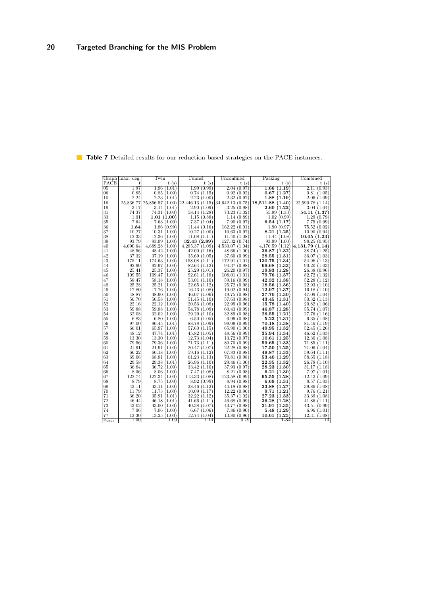|                    | Graph max. deg. | Twin                | Funnel                          | Unconfined          | Packing                     | Combined                      |
|--------------------|-----------------|---------------------|---------------------------------|---------------------|-----------------------------|-------------------------------|
| PACE               | t               | t(s)                | t(s)                            | t(s)                | t(s)                        | t(s)                          |
| $\overline{05}$    | 1.97            | 1.96(1.01)          | 1.99(0.99)                      | 2.04(0.97)          | $\overline{1.66}$<br>(1.19) | 2.11<br>(0.93)                |
| 06                 | 0.85            | 0.85(1.00)          | 0.74(1.15)                      | 0.92(0.92)          | 0.67<br>(1.27)              | 0.81<br>(1.05)                |
| 10                 | 2.24            | 2.23(1.01)          | 2.23(1.00)                      | 2.32(0.97)          | 1.88(1.19)                  | 2.06(1.09)                    |
| 16                 | 25,836.77       | 25,856.57(1.00)     | 22,446.13(1.15) 34,642.13(0.75) |                     | 18,511.88(1.40)             | 22,590.78(1.14)               |
| 19                 | 3.17            | 3.14(1.01)          | 2.90(1.09)                      | 3.25(0.98)          | 2.60(1.22)                  | 3.04(1.04)                    |
| 31                 | 74.37           | 74.31(1.00)         | 58.14(1.28)                     | 73.23(1.02)         | 55.99(1.33)                 | 54.11(1.37)                   |
| 33                 | 1.01            | 1.01(1.00)          | 1.15(0.88)                      | 1.14(0.89)          | 1.02(0.99)                  | 1.29(0.79)                    |
| 35                 | 7.64            | 7.63(1.00)          | 7.37(1.04)                      | 7.90(0.97)          | 6.54(1.17)                  | 7.75(0.99)                    |
| 36                 | 1.84            | 1.86(0.99)          | 11.44(0.16)                     | 162.22(0.01)        | 1.90(0.97)                  | 75.52(0.02)                   |
| 37                 | 10.27           | 10.31(1.00)         | 10.27(1.00)                     | 10.63(0.97)         | 8.21(1.25)                  | 10.90(0.94)                   |
| 38                 | 12.33           | 12.36(1.00)         | 11.08(1.11)                     | 11.40(1.08)         | 11.44(1.08)                 | 10.05(1.23)                   |
| 39                 | 93.79           | 93.99(1.00)         | 32.43(2.89)                     | 127.32(0.74)        | 93.99(1.00)                 | 98.25(0.95)                   |
| 40                 | 4.690.64        | 4.689.28(1.00)      | 4.285.37(1.09)                  | 4,530.07(1.04)      |                             | 4,176.59(1.12) 4,131.79(1.14) |
| 41                 | 48.56           | 48.42(1.00)         | 42.00(1.16)                     | 48.66 $(1.00)$      | 36.87(1.32)                 | 38.74 (1.25)                  |
| 42                 | 37.32           | 37.19(1.00)         | 35.69(1.05)                     | 37.60(0.99)         | 28.55<br>(1.31)             | 36.07(1.03)                   |
| 43                 | 175.11          | 174.63(1.00)        | 158.08(1.11)                    | 172.91(1.01)        | 130.75(1.34)                | 154.96(1.13)                  |
| 44                 | 92.90           | 92.97(1.00)         | 82.64(1.12)                     | 94.37(0.98)         | 69.68<br>(1.33)             | 90.20(1.03)                   |
| 45                 | 25.41           | 25.37(1.00)         | 25.29(1.01)                     | 26.20(0.97)         | 19.83<br>(1.28)             | 26.38(0.96)                   |
| 46                 | 109.55          | 109.47(1.00)        | 92.61(1.18)                     | 108.01(1.01)        | 79.76 (1.37)                | 82.72(1.32)                   |
| 47                 | 58.47           | 58.18(1.00)         | 53.01(1.10)                     | 59.16(0.99)         | 42.32<br>(1.38)             | 52.28(1.12)                   |
| 48                 | 25.28           | 25.21(1.00)         | 22.65(1.12)                     | 25.72(0.98)         | 18.56<br>(1.36)             | 22.93(1.10)                   |
| 49                 | 17.80           | 17.76(1.00)         | 16.43(1.08)                     | 19.02(0.94)         | 12.97<br>(1.37)             | 16.18(1.10)                   |
| 50                 | 48.87           | 48.90 $(1.00)$      | 46.07(1.06)                     | 49.75(0.98)         | 37.70<br>(1.30)             | 47.09(1.04)                   |
| 51                 | 56.70           | 56.58(1.00)         | 51.45(1.10)                     | 57.63(0.98)         | 43.45<br>(1.31)             | 50.32(1.13)                   |
| 52                 | 22.16           | 22.12(1.00)         | 20.56(1.08)                     | 22.99(0.96)         | 15.78<br>(1.40)             | 20.82(1.06)                   |
| 53                 | 59.88           | 59.88(1.00)         | 54.78 (1.09)                    | 60.43(0.99)         | 46.87<br>(1.28)             | 55.74(1.07)                   |
| 54                 | 32.08           | 32.02(1.00)         | 29.29(1.10)                     | 32.89 (0.98)        | 26.55<br>(1.21)             | 27.76 (1.16)                  |
| 55                 | 6.83            | 6.80(1.00)          | 6.50(1.05)                      | 6.99(0.98)          | 5.23<br>(1.31)              | 6.35(1.08)                    |
| 56                 | 97.00           | 96.45(1.01)         | 88.78 (1.09)                    | 98.09(0.99)         | (1.38)<br>70.18             | 81.46(1.19)                   |
| 57                 | 66.01           | 65.97(1.00)         | 57.60(1.15)                     | 65.90(1.00)         | 49.95<br>(1.32)             | 52.45(1.26)                   |
| 58                 | 48.12           | 47.74(1.01)         | 45.82(1.05)                     | 48.56(0.99)         | 35.94(1.34)                 | 46.62(1.03)                   |
| 59                 | 13.30           | 13.30(1.00)         | 12.73(1.04)                     | 13.72(0.97)         | 10.61(1.25)                 | 12.30(1.08)                   |
| 60                 | 79.56           | 79.36(1.00)         | 71.73(1.11)                     | 80.70 (0.99)        | 59.65(1.33)                 | 71.85(1.11)                   |
| 61                 | 21.91           | 21.91(1.00)         | 20.47(1.07)                     | 22.28(0.98)         | 17.50(1.25)                 | 21.06(1.04)                   |
| 62                 | 66.22           | 66.18(1.00)         | 59.16(1.12)                     | 67.83(0.98)         | 49.87<br>(1.33)             | 59.64(1.11)                   |
| 63                 | 69.06           | 68.81(1.00)         | 61.23(1.13)                     | 70.81(0.98)         | 53.40<br>(1.29)             | 58.65 $(1.18)$                |
| 64                 | 29.58           | 29.38(1.01)         | 26.96(1.10)                     | 29.46(1.00)         | 22.35<br>(1.32)             | 26.78(1.10)                   |
| 65                 | 36.84           | 36.72(1.00)         | 33.42(1.10)                     | 37.93(0.97)         | 28.23<br>(1.30)             | 31.17(1.18)                   |
| 66                 | 8.06            | 8.06(1.00)          | 7.47(1.08)                      | 8.21(0.98)          | 6.21<br>(1.30)              | 7.97(1.01)                    |
| 67                 | 122.74          | 122.34(1.00)        | 113.33(1.08)                    | 123.58(0.99)        | 95.55<br>(1.28)             | 112.43(1.09)                  |
| 68                 | 8.79            | 8.75(1.00)          | 8.92(0.99)                      | 8.94(0.98)          | (1.31)<br>6.69              | 8.57(1.03)                    |
| 69                 | 43.11           | 43.11(1.00)         | 38.46(1.12)                     | 44.18(0.98)         | 33.88 (1.27)                | 39.86(1.08)                   |
| 70                 | 11.79           | 11.73(1.00)         | 10.09(1.17)                     | 12.22(0.96)         | 9.71<br>(1.21)              | 9.76(1.21)                    |
| 71                 | 36.20           | 35.91(1.01)         | 32.22(1.12)                     | 35.37(1.02)         | 27.23<br>(1.33)             | 33.39(1.08)                   |
| 72                 | 46.44           | 46.18(1.01)         | 41.66(1.11)                     | 46.68(0.99)         | 36.28(1.28)                 | 41.86(1.11)                   |
| 73                 | 43.02           | 43.00(1.00)         | 40.38(1.07)                     | 43.77 (0.98)        | 31.91 (1.35)                | 43.51(0.99)                   |
| 74                 | 7.06            | 7.06(1.00)          | 6.67(1.06)                      | 7.86(0.90)          | 5.48(1.29)                  | 6.96(1.01)                    |
| 77                 | 13.30<br>1.00   | 13.25(1.00)<br>1.00 | 12.74(1.04)<br>1.14             | 13.80(0.96)<br>0.79 | 10.61(1.25)<br>1.34         | 12.31(1.08)<br>1.14           |
| $s_{\text{total}}$ |                 |                     |                                 |                     |                             |                               |

**Table 7** Detailed results for our reduction-based strategies on the PACE instances.